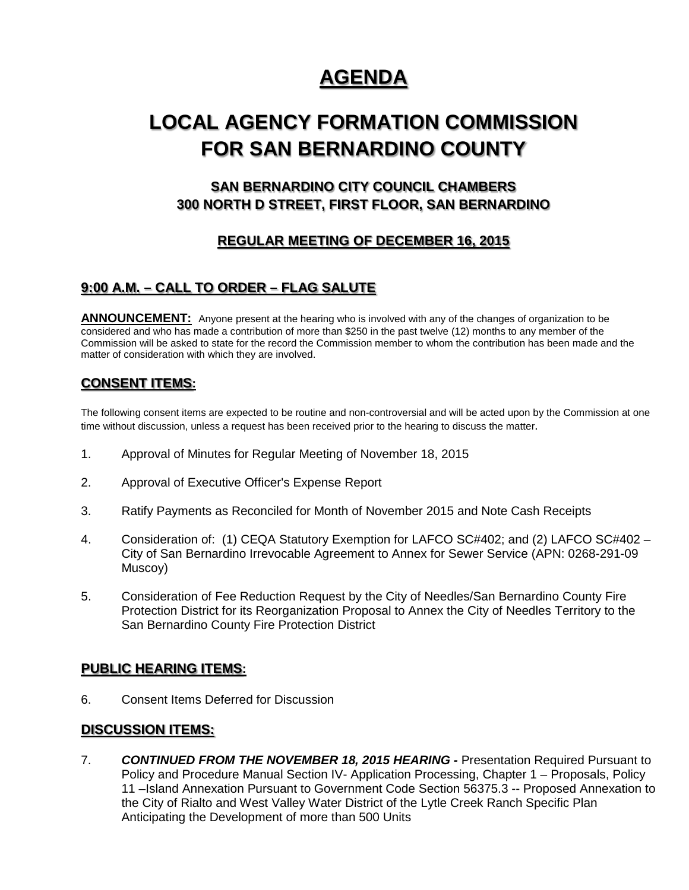# **AGENDA**

# **LOCAL AGENCY FORMATION COMMISSION FOR SAN BERNARDINO COUNTY**

# **SAN BERNARDINO CITY COUNCIL CHAMBERS 300 NORTH D STREET, FIRST FLOOR, SAN BERNARDINO**

# **REGULAR MEETING OF DECEMBER 16, 2015**

## **9:00 A.M. – CALL TO ORDER – FLAG SALUTE**

**ANNOUNCEMENT:** Anyone present at the hearing who is involved with any of the changes of organization to be considered and who has made a contribution of more than \$250 in the past twelve (12) months to any member of the Commission will be asked to state for the record the Commission member to whom the contribution has been made and the matter of consideration with which they are involved.

## **CONSENT ITEMS:**

The following consent items are expected to be routine and non-controversial and will be acted upon by the Commission at one time without discussion, unless a request has been received prior to the hearing to discuss the matter.

- 1. Approval of Minutes for Regular Meeting of November 18, 2015
- 2. Approval of Executive Officer's Expense Report
- 3. Ratify Payments as Reconciled for Month of November 2015 and Note Cash Receipts
- 4. Consideration of: (1) CEQA Statutory Exemption for LAFCO SC#402; and (2) LAFCO SC#402 City of San Bernardino Irrevocable Agreement to Annex for Sewer Service (APN: 0268-291-09 Muscoy)
- 5. Consideration of Fee Reduction Request by the City of Needles/San Bernardino County Fire Protection District for its Reorganization Proposal to Annex the City of Needles Territory to the San Bernardino County Fire Protection District

### **PUBLIC HEARING ITEMS:**

6. Consent Items Deferred for Discussion

### **DISCUSSION ITEMS:**

7. *CONTINUED FROM THE NOVEMBER 18, 2015 HEARING -* Presentation Required Pursuant to Policy and Procedure Manual Section IV- Application Processing, Chapter 1 – Proposals, Policy 11 –Island Annexation Pursuant to Government Code Section 56375.3 -- Proposed Annexation to the City of Rialto and West Valley Water District of the Lytle Creek Ranch Specific Plan Anticipating the Development of more than 500 Units